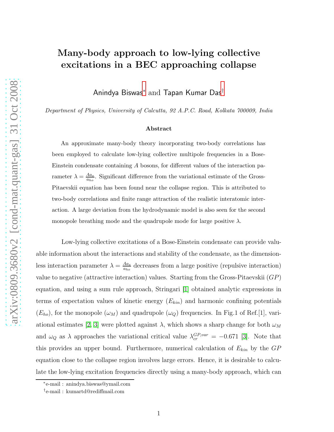## Many-body approach to low-lying collective excitations in a BEC approaching collapse

Anindya Biswas[∗](#page-0-0) and Tapan Kumar Das[†](#page-0-1)

Department of Physics, University of Calcutta, 92 A.P.C. Road, Kolkata 700009, India

## Abstract

An approximate many-body theory incorporating two-body correlations has been employed to calculate low-lying collective multipole frequencies in a Bose-Einstein condensate containing A bosons, for different values of the interaction parameter  $\lambda = \frac{Aa_s}{a_s}$  $\frac{Aa_s}{a_{ho}}$ . Significant difference from the variational estimate of the Gross-Pitaevskii equation has been found near the collapse region. This is attributed to two-body correlations and finite range attraction of the realistic interatomic interaction. A large deviation from the hydrodynamic model is also seen for the second monopole breathing mode and the quadrupole mode for large positive  $\lambda$ .

Low-lying collective excitations of a Bose-Einstein condensate can provide valuable information about the interactions and stability of the condensate, as the dimensionless interaction parameter  $\lambda = \frac{Aa_s}{a_t}$  $\frac{Aa_s}{a_{ho}}$  decreases from a large positive (repulsive interaction) value to negative (attractive interaction) values. Starting from the Gross-Pitaevskii (GP) equation, and using a sum rule approach, Stringari [\[1\]](#page-8-0) obtained analytic expressions in terms of expectation values of kinetic energy  $(E_{kin})$  and harmonic confining potentials  $(E_{ho})$ , for the monopole  $(\omega_M)$  and quadrupole  $(\omega_Q)$  frequencies. In Fig.1 of Ref.[1], vari-ational estimates [\[2,](#page-8-1) [3\]](#page-8-2) were plotted against  $\lambda$ , which shows a sharp change for both  $\omega_M$ and  $\omega_Q$  as  $\lambda$  approaches the variational critical value  $\lambda_{cr}^{GP,var} = -0.671$  [\[3\]](#page-8-2). Note that this provides an upper bound. Furthermore, numerical calculation of  $E_{kin}$  by the  $GP$ equation close to the collapse region involves large errors. Hence, it is desirable to calculate the low-lying excitation frequencies directly using a many-body approach, which can

<sup>∗</sup> e-mail : anindya.biswas@ymail.com

<span id="page-0-1"></span><span id="page-0-0"></span><sup>†</sup> e-mail : kumartd@rediffmail.com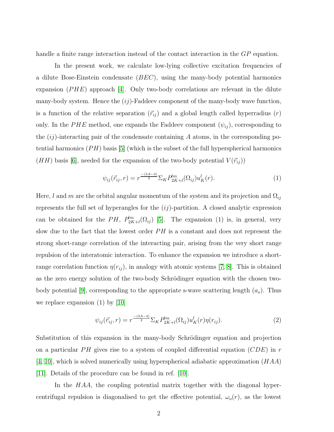handle a finite range interaction instead of the contact interaction in the GP equation.

In the present work, we calculate low-lying collective excitation frequencies of a dilute Bose-Einstein condensate  $(BEC)$ , using the many-body potential harmonics expansion  $(PHE)$  approach [\[4\]](#page-8-3). Only two-body correlations are relevant in the dilute many-body system. Hence the  $(ij)$ -Faddeev component of the many-body wave function, is a function of the relative separation  $(\vec{r}_{ij})$  and a global length called hyperradius  $(r)$ only. In the PHE method, one expands the Faddeev component  $(\psi_{ij})$ , corresponding to the  $(ij)$ -interacting pair of the condensate containing A atoms, in the corresponding potential harmonics  $(PH)$  basis [\[5\]](#page-8-4) (which is the subset of the full hyperspherical harmonics  $(HH)$  basis [\[6\]](#page-8-5), needed for the expansion of the two-body potential  $V(\vec{r}_{ij})$ ]

$$
\psi_{ij}(\vec{r}_{ij},r) = r^{\frac{-(3A-4)}{2}} \Sigma_K P_{2K+l}^{lm}(\Omega_{ij}) u_K^l(r). \tag{1}
$$

Here,  $l$  and  $m$  are the orbital angular momentum of the system and its projection and  $\Omega_{ij}$ represents the full set of hyperangles for the  $(ij)$ -partition. A closed analytic expression can be obtained for the PH,  $P_{2K+l}^{lm}(\Omega_{ij})$  [\[5\]](#page-8-4). The expansion (1) is, in general, very slow due to the fact that the lowest order  $PH$  is a constant and does not represent the strong short-range correlation of the interacting pair, arising from the very short range repulsion of the interatomic interaction. To enhance the expansion we introduce a shortrange correlation function  $\eta(r_{ij})$ , in analogy with atomic systems [\[7,](#page-8-6) [8\]](#page-8-7). This is obtained as the zero energy solution of the two-body Schrödinger equation with the chosen two-body potential [\[9\]](#page-8-8), corresponding to the appropriate s-wave scattering length  $(a_s)$ . Thus we replace expansion (1) by [\[10\]](#page-8-9)

$$
\psi_{ij}(\vec{r}_{ij},r) = r^{\frac{-(3A-4)}{2}} \Sigma_K P_{2K+l}^{lm}(\Omega_{ij}) u_K^l(r) \eta(r_{ij}). \tag{2}
$$

Substitution of this expansion in the many-body Schrödinger equation and projection on a particular PH gives rise to a system of coupled differential equation  $(CDE)$  in r  $[4, 10]$  $[4, 10]$ , which is solved numerically using hyperspherical adiabatic approximation  $(HAA)$ [\[11\]](#page-8-10). Details of the procedure can be found in ref. [\[10\]](#page-8-9).

In the  $HAA$ , the coupling potential matrix together with the diagonal hypercentrifugal repulsion is diagonalised to get the effective potential,  $\omega_o(r)$ , as the lowest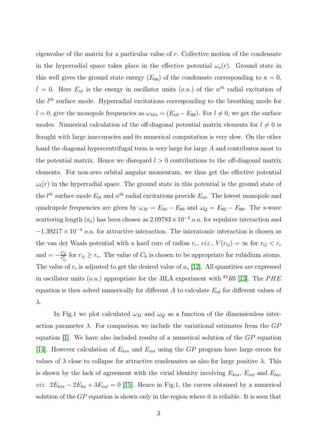eigenvalue of the matrix for a particular value of  $r$ . Collective motion of the condensate in the hyperradial space takes place in the effective potential  $\omega_o(r)$ . Ground state in this well gives the ground state energy  $(E_{00})$  of the condensate corresponding to  $n = 0$ ,  $l = 0$ . Here  $E_{nl}$  is the energy in oscillator units  $(o.u.)$  of the  $n<sup>th</sup>$  radial excitation of the  $l^{th}$  surface mode. Hyperradial excitations corresponding to the breathing mode for  $l = 0$ , give the monopole frequencies as  $\omega_{Mn} = (E_{n0} - E_{00})$ . For  $l \neq 0$ , we get the surface modes. Numerical calculation of the off-diagonal potential matrix elements for  $l \neq 0$  is fraught with large inaccuracies and its numerical computation is very slow. On the other hand the diagonal hypercentrifugal term is very large for large A and contributes most to the potential matrix. Hence we disregard  $l > 0$  contributions to the off-diagonal matrix elements. For non-zero orbital angular momentum, we thus get the effective potential  $\omega_l(r)$  in the hyperradial space. The ground state in this potential is the ground state of the  $l^{th}$  surface mode  $E_{0l}$  and  $n^{th}$  radial excitations provide  $E_{nl}$ . The lowest monopole and quadrupole frequencies are given by  $\omega_M = E_{10} - E_{00}$  and  $\omega_Q = E_{02} - E_{00}$ . The s-wave scattering length  $(a_s)$  has been chosen as  $2.09783 \times 10^{-4}$  o.u. for repulsive interaction and  $-1.39217 \times 10^{-4}$  o.u. for attractive interaction. The interatomic interaction is chosen as the van der Waals potential with a hard core of radius  $r_c$ ,  $viz_i$ ,  $V(r_{ij}) = \infty$  for  $r_{ij} < r_c$ and  $=-\frac{C_6}{r_{ij}^6}$  $\frac{C_6}{r_{ij}^6}$  for  $r_{ij} \ge r_c$ . The value of  $C_6$  is chosen to be appropriate for rubidium atoms. The value of  $r_c$  is adjusted to get the desired value of  $a_s$  [\[12\]](#page-8-11). All quantities are expressed in oscillator units  $(o.u.)$  appropriate for the JILA experiment with <sup>85</sup>Rb [\[13\]](#page-8-12). The PHE equation is then solved numerically for different A to calculate  $E_{nl}$  for different values of λ.

In Fig.1 we plot calculated  $\omega_M$  and  $\omega_Q$  as a function of the dimensionless interaction parameter  $\lambda$ . For comparison we include the variational estimates from the  $GP$ equation [\[1\]](#page-8-0). We have also included results of a numerical solution of the GP equation [\[14\]](#page-8-13). However calculation of  $E_{kin}$  and  $E_{int}$  using the GP program have large errors for values of  $\lambda$  close to collapse for attractive condensates as also for large positive  $\lambda$ . This is shown by the lack of agreement with the virial identity involving  $E_{kin}$ ,  $E_{int}$  and  $E_{ho}$ , *viz.*  $2E_{kin} - 2E_{ho} + 3E_{int} = 0$  [\[15\]](#page-8-14). Hence in Fig.1, the curves obtained by a numerical solution of the  $GP$  equation is shown only in the region where it is reliable. It is seen that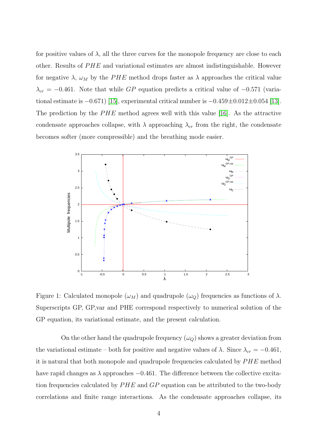for positive values of  $\lambda$ , all the three curves for the monopole frequency are close to each other. Results of  $PHE$  and variational estimates are almost indistinguishable. However for negative  $\lambda$ ,  $\omega_M$  by the PHE method drops faster as  $\lambda$  approaches the critical value  $\lambda_{cr} = -0.461$ . Note that while GP equation predicts a critical value of  $-0.571$  (variational estimate is  $-0.671$  [\[15\]](#page-8-14), experimental critical number is  $-0.459 \pm 0.012 \pm 0.054$  [\[13\]](#page-8-12). The prediction by the  $PHE$  method agrees well with this value [\[16\]](#page-8-15). As the attractive condensate approaches collapse, with  $\lambda$  approaching  $\lambda_{cr}$  from the right, the condensate becomes softer (more compressible) and the breathing mode easier.



Figure 1: Calculated monopole  $(\omega_M)$  and quadrupole  $(\omega_Q)$  frequencies as functions of  $\lambda$ . Superscripts GP, GP,var and PHE correspond respectively to numerical solution of the GP equation, its variational estimate, and the present calculation.

On the other hand the quadrupole frequency  $(\omega_Q)$  shows a greater deviation from the variational estimate – both for positive and negative values of  $\lambda$ . Since  $\lambda_{cr} = -0.461$ , it is natural that both monopole and quadrupole frequencies calculated by  $PHE$  method have rapid changes as  $\lambda$  approaches  $-0.461$ . The difference between the collective excitation frequencies calculated by  $PHE$  and  $GP$  equation can be attributed to the two-body correlations and finite range interactions. As the condensate approaches collapse, its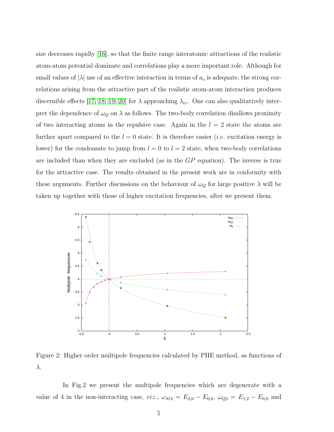size decreases rapidly [\[16\]](#page-8-15), so that the finite range interatomic attractions of the realistic atom-atom potential dominate and correlations play a more important role. Although for small values of  $|\lambda|$  use of an effective interaction in terms of  $a_s$  is adequate, the strong correlations arising from the attractive part of the realistic atom-atom interaction produces discernible effects [\[17,](#page-9-0) [18,](#page-9-1) [19,](#page-9-2) [20\]](#page-9-3) for  $\lambda$  approaching  $\lambda_{cr}$ . One can also qualitatively interpret the dependence of  $\omega_Q$  on  $\lambda$  as follows. The two-body correlation disallows proximity of two interacting atoms in the repulsive case. Again in the  $l = 2$  state the atoms are further apart compared to the  $l = 0$  state. It is therefore easier *(i.e.* excitation energy is lower) for the condensate to jump from  $l = 0$  to  $l = 2$  state, when two-body correlations are included than when they are excluded (as in the GP equation). The inverse is true for the attractive case. The results obtained in the present work are in conformity with these arguments. Further discussions on the behaviour of  $\omega_Q$  for large positive  $\lambda$  will be taken up together with those of higher excitation frequencies, after we present them.



Figure 2: Higher order multipole frequencies calculated by PHE method, as functions of λ.

In Fig.2 we present the multipole frequencies which are degenerate with a value of 4 in the non-interacting case, viz.,  $\omega_{M2} = E_{2,0} - E_{0,0}$ ,  $\omega_{Q2} = E_{1,2} - E_{0,0}$  and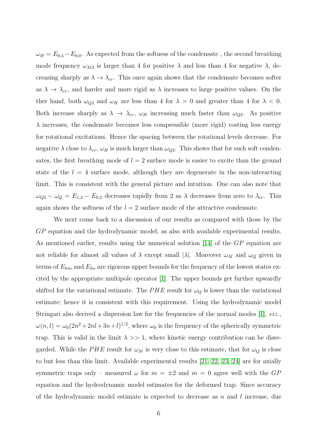$\omega_H = E_{0,4} - E_{0,0}$ . As expected from the softness of the condensate, the second breathing mode frequency  $\omega_{M2}$  is larger than 4 for positive  $\lambda$  and less than 4 for negative  $\lambda$ , decreasing sharply as  $\lambda \to \lambda_{cr}$ . This once again shows that the condensate becomes softer as  $\lambda \to \lambda_{cr}$ , and harder and more rigid as  $\lambda$  increases to large positive values. On the ther hand, both  $\omega_{Q2}$  and  $\omega_H$  are less than 4 for  $\lambda > 0$  and greater than 4 for  $\lambda < 0$ . Both increase sharply as  $\lambda \to \lambda_{cr}$ ,  $\omega_H$  increasing much faster than  $\omega_{Q2}$ . As positive  $\lambda$  increases, the condensate becomes less compressible (more rigid) costing less energy for rotational excitations. Hence the spacing between the rotational levels decrease. For negative  $\lambda$  close to  $\lambda_{cr}$ ,  $\omega_H$  is much larger than  $\omega_{Q2}$ . This shows that for such soft condensates, the first breathing mode of  $l = 2$  surface mode is easier to excite than the ground state of the  $l = 4$  surface mode, although they are degenerate in the non-interacting limit. This is consistent with the general picture and intuition. One can also note that  $\omega_{Q2} - \omega_Q = E_{1,2} - E_{0,2}$  decreases rapidly from 2 as  $\lambda$  decreases from zero to  $\lambda_{cr}$ . This again shows the softness of the  $l = 2$  surface mode of the attractive condensate.

We next come back to a discussion of our results as compared with those by the GP equation and the hydrodynamic model, as also with available experimental results. As mentioned earlier, results using the numerical solution [\[14\]](#page-8-13) of the GP equation are not reliable for almost all values of  $\lambda$  except small  $|\lambda|$ . Moreover  $\omega_M$  and  $\omega_Q$  given in terms of  $E_{kin}$  and  $E_{ho}$  are rigorous upper bounds for the frequency of the lowest states excited by the appropriate multipole operator [\[1\]](#page-8-0). The upper bounds get further upwardly shifted for the variational estimate. The PHE result for  $\omega_Q$  is lower than the variational estimate; hence it is consistent with this requirement. Using the hydrodynamic model Stringari also derived a dispersion law for the frequencies of the normal modes  $[1]$ ,  $viz$ .  $\omega(n,l) = \omega_0(2n^2 + 2nl + 3n + l)^{1/2}$ , where  $\omega_0$  is the frequency of the spherically symmetric trap. This is valid in the limit  $\lambda \gg 1$ , where kinetic energy contribution can be disregarded. While the PHE result for  $\omega_M$  is very close to this estimate, that for  $\omega_Q$  is close to but less than this limit. Available experimental results [\[21,](#page-9-4) [22,](#page-9-5) [23,](#page-9-6) [24\]](#page-9-7) are for axially symmetric traps only – measured  $\omega$  for  $m = \pm 2$  and  $m = 0$  agree well with the GP equation and the hydrodynamic model estimates for the deformed trap. Since accuracy of the hydrodynamic model estimate is expected to decrease as n and l increase, due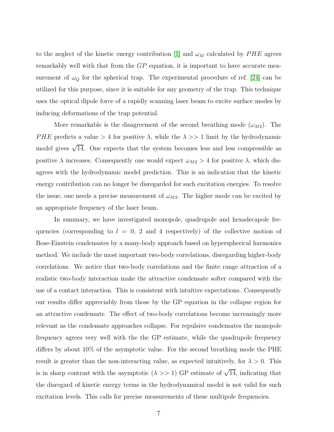to the neglect of the kinetic energy contribution [\[1\]](#page-8-0) and  $\omega_M$  calculated by  $PHE$  agrees remarkably well with that from the GP equation, it is important to have accurate measurement of  $\omega_Q$  for the spherical trap. The experimental procedure of ref. [\[24\]](#page-9-7) can be utilized for this purpose, since it is suitable for any geometry of the trap. This technique uses the optical dipole force of a rapidly scanning laser beam to excite surface modes by inducing deformations of the trap potential.

More remarkable is the disagreement of the second breathing mode  $(\omega_{M2})$ . The PHE predicts a value  $> 4$  for positive  $\lambda$ , while the  $\lambda \gg 1$  limit by the hydrodynamic model gives  $\sqrt{14}$ . One expects that the system becomes less and less compressible as positive  $\lambda$  increases. Consequently one would expect  $\omega_{M2} > 4$  for positive  $\lambda$ , which disagrees with the hydrodynamic model prediction. This is an indication that the kinetic energy contribution can no longer be disregarded for such excitation energies. To resolve the issue, one needs a precise measurement of  $\omega_{M2}$ . The higher mode can be excited by an appropriate frequency of the laser beam.

In summary, we have investigated monopole, quadrupole and hexadecapole frequencies (corresponding to  $l = 0, 2$  and 4 respectively) of the collective motion of Bose-Einstein condensates by a many-body approach based on hyperspherical harmonics method. We include the most important two-body correlations, disregarding higher-body correlations. We notice that two-body correlations and the finite range attraction of a realistic two-body interaction make the attractive condensate softer compared with the use of a contact interaction. This is consistent with intuitive expectations. Consequently our results differ appreciably from those by the GP equation in the collapse region for an attractive condensate. The effect of two-body correlations become increasingly more relevant as the condensate approaches collapse. For repulsive condensates the monopole frequency agrees very well with the the GP estimate, while the quadrupole frequency differs by about 10% of the asymptotic value. For the second breathing mode the PHE result is greater than the non-interacting value, as expected intuitively, for  $\lambda > 0$ . This is in sharp contrast with the asymptotic  $(\lambda \gg 1)$  GP estimate of  $\sqrt{14}$ , indicating that the disregard of kinetic energy terms in the hydrodynamical model is not valid for such excitation levels. This calls for precise measurements of these multipole frequencies.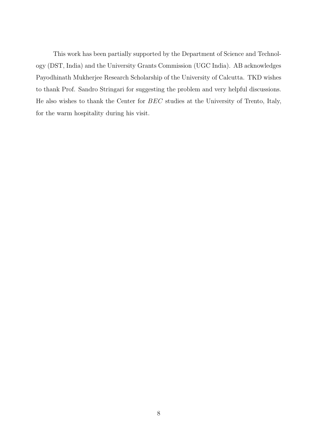This work has been partially supported by the Department of Science and Technology (DST, India) and the University Grants Commission (UGC India). AB acknowledges Payodhinath Mukherjee Research Scholarship of the University of Calcutta. TKD wishes to thank Prof. Sandro Stringari for suggesting the problem and very helpful discussions. He also wishes to thank the Center for BEC studies at the University of Trento, Italy, for the warm hospitality during his visit.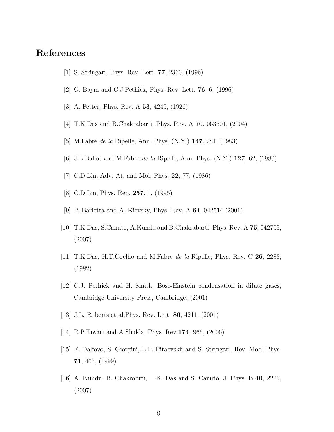## <span id="page-8-1"></span><span id="page-8-0"></span>References

- [1] S. Stringari, Phys. Rev. Lett. 77, 2360, (1996)
- <span id="page-8-2"></span>[2] G. Baym and C.J.Pethick, Phys. Rev. Lett. 76, 6, (1996)
- <span id="page-8-3"></span>[3] A. Fetter, Phys. Rev. A 53, 4245, (1926)
- <span id="page-8-4"></span>[4] T.K.Das and B.Chakrabarti, Phys. Rev. A 70, 063601, (2004)
- <span id="page-8-5"></span>[5] M.Fabre *de la* Ripelle, Ann. Phys. (N.Y.) **147**, 281, (1983)
- <span id="page-8-6"></span>[6] J.L.Ballot and M.Fabre *de la* Ripelle, Ann. Phys.  $(N.Y.)$  127, 62, (1980)
- <span id="page-8-7"></span>[7] C.D.Lin, Adv. At. and Mol. Phys. 22, 77, (1986)
- <span id="page-8-8"></span>[8] C.D.Lin, Phys. Rep. 257, 1, (1995)
- <span id="page-8-9"></span>[9] P. Barletta and A. Kievsky, Phys. Rev. A 64, 042514 (2001)
- <span id="page-8-10"></span>[10] T.K.Das, S.Canuto, A.Kundu and B.Chakrabarti, Phys. Rev. A 75, 042705, (2007)
- <span id="page-8-11"></span>[11] T.K.Das, H.T.Coelho and M.Fabre de la Ripelle, Phys. Rev. C 26, 2288, (1982)
- <span id="page-8-12"></span>[12] C.J. Pethick and H. Smith, Bose-Einstein condensation in dilute gases, Cambridge University Press, Cambridge, (2001)
- <span id="page-8-13"></span>[13] J.L. Roberts et al,Phys. Rev. Lett. 86, 4211, (2001)
- <span id="page-8-14"></span>[14] R.P.Tiwari and A.Shukla, Phys. Rev.174, 966, (2006)
- <span id="page-8-15"></span>[15] F. Dalfovo, S. Giorgini, L.P. Pitaevskii and S. Stringari, Rev. Mod. Phys. 71, 463, (1999)
- [16] A. Kundu, B. Chakrobrti, T.K. Das and S. Canuto, J. Phys. B 40, 2225, (2007)